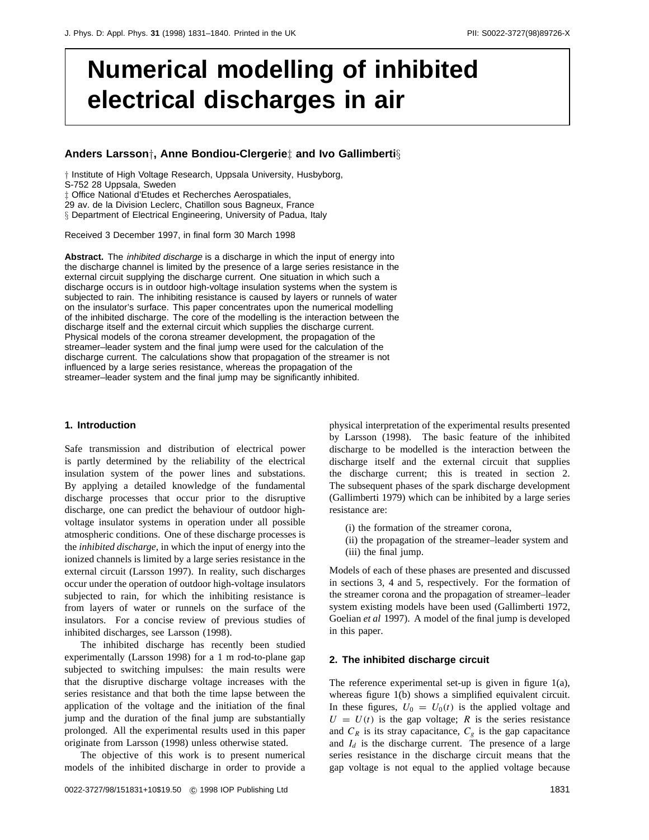# **Numerical modelling of inhibited electrical discharges in air**

# **Anders Larsson***†***, Anne Bondiou-Clergerie***‡* **and Ivo Gallimberti***§*

*†* Institute of High Voltage Research, Uppsala University, Husbyborg,

S-752 28 Uppsala, Sweden

*‡* Office National d'Etudes et Recherches Aerospatiales,

29 av. de la Division Leclerc, Chatillon sous Bagneux, France

*§* Department of Electrical Engineering, University of Padua, Italy

Received 3 December 1997, in final form 30 March 1998

**Abstract.** The inhibited discharge is a discharge in which the input of energy into the discharge channel is limited by the presence of a large series resistance in the external circuit supplying the discharge current. One situation in which such a discharge occurs is in outdoor high-voltage insulation systems when the system is subjected to rain. The inhibiting resistance is caused by layers or runnels of water on the insulator's surface. This paper concentrates upon the numerical modelling of the inhibited discharge. The core of the modelling is the interaction between the discharge itself and the external circuit which supplies the discharge current. Physical models of the corona streamer development, the propagation of the streamer–leader system and the final jump were used for the calculation of the discharge current. The calculations show that propagation of the streamer is not influenced by a large series resistance, whereas the propagation of the streamer–leader system and the final jump may be significantly inhibited.

## **1. Introduction**

Safe transmission and distribution of electrical power is partly determined by the reliability of the electrical insulation system of the power lines and substations. By applying a detailed knowledge of the fundamental discharge processes that occur prior to the disruptive discharge, one can predict the behaviour of outdoor highvoltage insulator systems in operation under all possible atmospheric conditions. One of these discharge processes is the *inhibited discharge*, in which the input of energy into the ionized channels is limited by a large series resistance in the external circuit (Larsson 1997). In reality, such discharges occur under the operation of outdoor high-voltage insulators subjected to rain, for which the inhibiting resistance is from layers of water or runnels on the surface of the insulators. For a concise review of previous studies of inhibited discharges, see Larsson (1998).

The inhibited discharge has recently been studied experimentally (Larsson 1998) for a 1 m rod-to-plane gap subjected to switching impulses: the main results were that the disruptive discharge voltage increases with the series resistance and that both the time lapse between the application of the voltage and the initiation of the final jump and the duration of the final jump are substantially prolonged. All the experimental results used in this paper originate from Larsson (1998) unless otherwise stated.

The objective of this work is to present numerical models of the inhibited discharge in order to provide a physical interpretation of the experimental results presented by Larsson (1998). The basic feature of the inhibited discharge to be modelled is the interaction between the discharge itself and the external circuit that supplies the discharge current; this is treated in section 2. The subsequent phases of the spark discharge development (Gallimberti 1979) which can be inhibited by a large series resistance are:

- (i) the formation of the streamer corona,
- (ii) the propagation of the streamer–leader system and (iii) the final jump.

Models of each of these phases are presented and discussed in sections 3, 4 and 5, respectively. For the formation of the streamer corona and the propagation of streamer–leader system existing models have been used (Gallimberti 1972, Goelian *et al* 1997). A model of the final jump is developed in this paper.

# **2. The inhibited discharge circuit**

The reference experimental set-up is given in figure 1(a), whereas figure 1(b) shows a simplified equivalent circuit. In these figures,  $U_0 = U_0(t)$  is the applied voltage and  $U = U(t)$  is the gap voltage; *R* is the series resistance and  $C_R$  is its stray capacitance,  $C_g$  is the gap capacitance and  $I_d$  is the discharge current. The presence of a large series resistance in the discharge circuit means that the gap voltage is not equal to the applied voltage because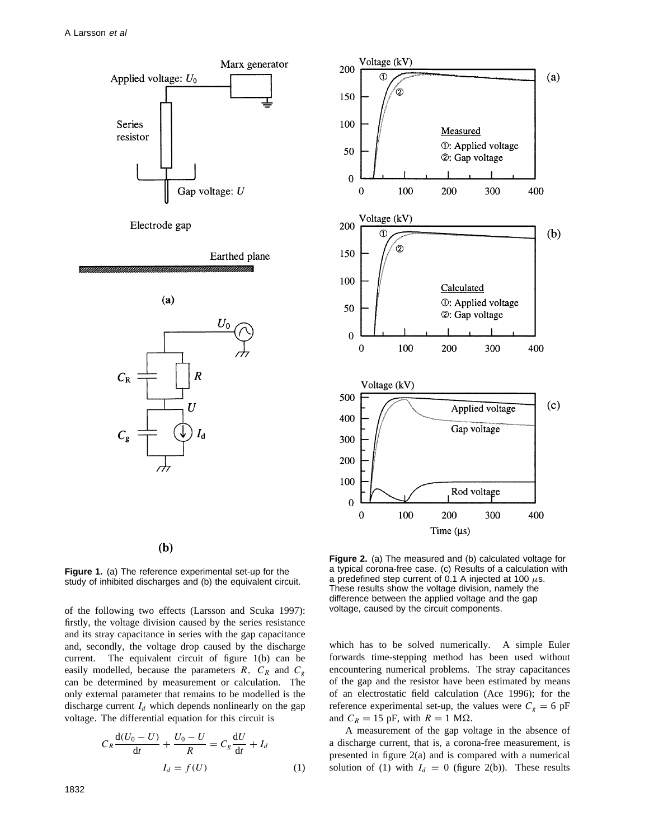



 $(b)$ 

**Figure 1.** (a) The reference experimental set-up for the study of inhibited discharges and (b) the equivalent circuit.

of the following two effects (Larsson and Scuka 1997): firstly, the voltage division caused by the series resistance and its stray capacitance in series with the gap capacitance and, secondly, the voltage drop caused by the discharge current. The equivalent circuit of figure 1(b) can be easily modelled, because the parameters  $R$ ,  $C_R$  and  $C_g$ can be determined by measurement or calculation. The only external parameter that remains to be modelled is the discharge current  $I_d$  which depends nonlinearly on the gap voltage. The differential equation for this circuit is

$$
C_R \frac{\mathrm{d}(U_0 - U)}{\mathrm{d}t} + \frac{U_0 - U}{R} = C_g \frac{\mathrm{d}U}{\mathrm{d}t} + I_d
$$

$$
I_d = f(U) \tag{1}
$$

**Figure 2.** (a) The measured and (b) calculated voltage for a typical corona-free case. (c) Results of a calculation with a predefined step current of 0.1 A injected at 100 *µ*s. These results show the voltage division, namely the difference between the applied voltage and the gap voltage, caused by the circuit components.

which has to be solved numerically. A simple Euler forwards time-stepping method has been used without encountering numerical problems. The stray capacitances of the gap and the resistor have been estimated by means of an electrostatic field calculation (Ace 1996); for the reference experimental set-up, the values were  $C_g = 6$  pF and  $C_R = 15$  pF, with  $R = 1$  M $\Omega$ .

A measurement of the gap voltage in the absence of a discharge current, that is, a corona-free measurement, is presented in figure 2(a) and is compared with a numerical solution of (1) with  $I_d = 0$  (figure 2(b)). These results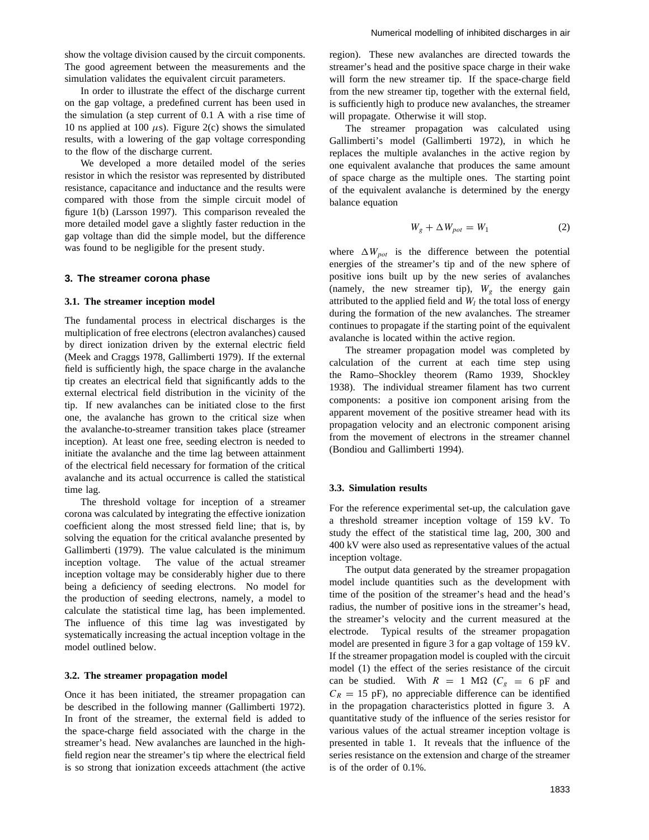show the voltage division caused by the circuit components. The good agreement between the measurements and the simulation validates the equivalent circuit parameters.

In order to illustrate the effect of the discharge current on the gap voltage, a predefined current has been used in the simulation (a step current of 0.1 A with a rise time of 10 ns applied at 100  $\mu$ s). Figure 2(c) shows the simulated results, with a lowering of the gap voltage corresponding to the flow of the discharge current.

We developed a more detailed model of the series resistor in which the resistor was represented by distributed resistance, capacitance and inductance and the results were compared with those from the simple circuit model of figure 1(b) (Larsson 1997). This comparison revealed the more detailed model gave a slightly faster reduction in the gap voltage than did the simple model, but the difference was found to be negligible for the present study.

## **3. The streamer corona phase**

#### **3.1. The streamer inception model**

The fundamental process in electrical discharges is the multiplication of free electrons (electron avalanches) caused by direct ionization driven by the external electric field (Meek and Craggs 1978, Gallimberti 1979). If the external field is sufficiently high, the space charge in the avalanche tip creates an electrical field that significantly adds to the external electrical field distribution in the vicinity of the tip. If new avalanches can be initiated close to the first one, the avalanche has grown to the critical size when the avalanche-to-streamer transition takes place (streamer inception). At least one free, seeding electron is needed to initiate the avalanche and the time lag between attainment of the electrical field necessary for formation of the critical avalanche and its actual occurrence is called the statistical time lag.

The threshold voltage for inception of a streamer corona was calculated by integrating the effective ionization coefficient along the most stressed field line; that is, by solving the equation for the critical avalanche presented by Gallimberti (1979). The value calculated is the minimum inception voltage. The value of the actual streamer inception voltage may be considerably higher due to there being a deficiency of seeding electrons. No model for the production of seeding electrons, namely, a model to calculate the statistical time lag, has been implemented. The influence of this time lag was investigated by systematically increasing the actual inception voltage in the model outlined below.

#### **3.2. The streamer propagation model**

Once it has been initiated, the streamer propagation can be described in the following manner (Gallimberti 1972). In front of the streamer, the external field is added to the space-charge field associated with the charge in the streamer's head. New avalanches are launched in the highfield region near the streamer's tip where the electrical field is so strong that ionization exceeds attachment (the active

region). These new avalanches are directed towards the streamer's head and the positive space charge in their wake will form the new streamer tip. If the space-charge field from the new streamer tip, together with the external field, is sufficiently high to produce new avalanches, the streamer will propagate. Otherwise it will stop.

The streamer propagation was calculated using Gallimberti's model (Gallimberti 1972), in which he replaces the multiple avalanches in the active region by one equivalent avalanche that produces the same amount of space charge as the multiple ones. The starting point of the equivalent avalanche is determined by the energy balance equation

$$
W_g + \Delta W_{pot} = W_1 \tag{2}
$$

where  $\Delta W_{pot}$  is the difference between the potential energies of the streamer's tip and of the new sphere of positive ions built up by the new series of avalanches (namely, the new streamer tip),  $W_g$  the energy gain attributed to the applied field and  $W_l$  the total loss of energy during the formation of the new avalanches. The streamer continues to propagate if the starting point of the equivalent avalanche is located within the active region.

The streamer propagation model was completed by calculation of the current at each time step using the Ramo–Shockley theorem (Ramo 1939, Shockley 1938). The individual streamer filament has two current components: a positive ion component arising from the apparent movement of the positive streamer head with its propagation velocity and an electronic component arising from the movement of electrons in the streamer channel (Bondiou and Gallimberti 1994).

## **3.3. Simulation results**

For the reference experimental set-up, the calculation gave a threshold streamer inception voltage of 159 kV. To study the effect of the statistical time lag, 200, 300 and 400 kV were also used as representative values of the actual inception voltage.

The output data generated by the streamer propagation model include quantities such as the development with time of the position of the streamer's head and the head's radius, the number of positive ions in the streamer's head, the streamer's velocity and the current measured at the electrode. Typical results of the streamer propagation model are presented in figure 3 for a gap voltage of 159 kV. If the streamer propagation model is coupled with the circuit model (1) the effect of the series resistance of the circuit can be studied. With  $R = 1$  M $\Omega$  ( $C_g = 6$  pF and  $C_R = 15$  pF), no appreciable difference can be identified in the propagation characteristics plotted in figure 3. A quantitative study of the influence of the series resistor for various values of the actual streamer inception voltage is presented in table 1. It reveals that the influence of the series resistance on the extension and charge of the streamer is of the order of 0.1%.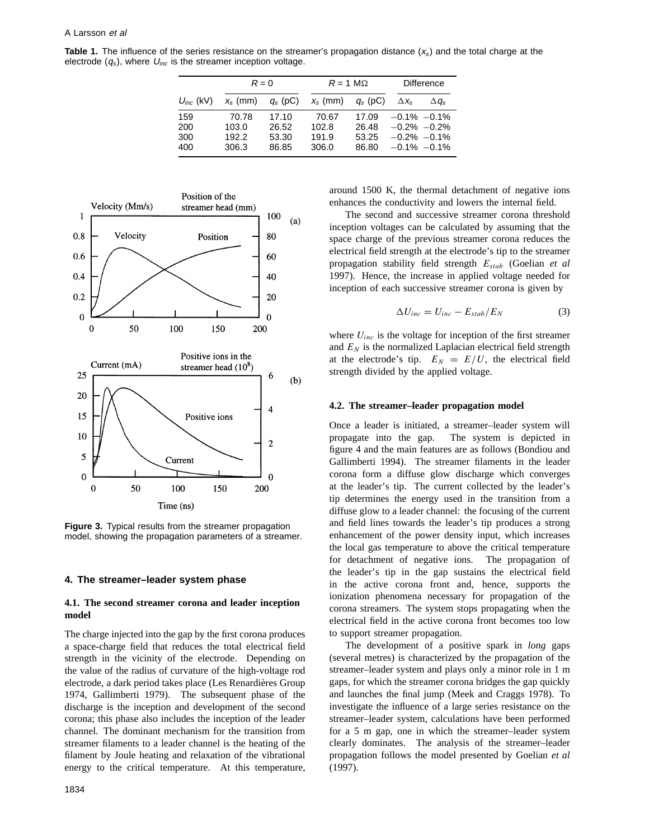**Table 1.** The influence of the series resistance on the streamer's propagation distance  $(x<sub>s</sub>)$  and the total charge at the electrode  $(q_s)$ , where  $U_{inc}$  is the streamer inception voltage.

|                   | $R = 0$                 |                         | $R = 1$ M $\Omega$      |                         | <b>Difference</b>  |                                    |
|-------------------|-------------------------|-------------------------|-------------------------|-------------------------|--------------------|------------------------------------|
| $U_{inc}$ (kV)    | $x_{s}$ (mm)            | $q_s$ (pC)              | $x_{s}$ (mm)            | $q_s$ (pC)              | $\Delta X_{\rm s}$ | $\Delta q_s$                       |
| 159<br>200<br>300 | 70.78<br>103.0<br>192.2 | 17.10<br>26.52<br>53.30 | 70.67<br>102.8<br>191.9 | 17.09<br>26.48<br>53.25 | $-0.1\% -0.1\%$    | $-0.2\% -0.2\%$<br>$-0.2\% -0.1\%$ |
| 400               | 306.3                   | 86.85                   | 306.0                   | 86.80                   |                    | $-0.1\% -0.1\%$                    |



**Figure 3.** Typical results from the streamer propagation model, showing the propagation parameters of a streamer.

# **4. The streamer–leader system phase**

## **4.1. The second streamer corona and leader inception model**

The charge injected into the gap by the first corona produces a space-charge field that reduces the total electrical field strength in the vicinity of the electrode. Depending on the value of the radius of curvature of the high-voltage rod electrode, a dark period takes place (Les Renardières Group 1974, Gallimberti 1979). The subsequent phase of the discharge is the inception and development of the second corona; this phase also includes the inception of the leader channel. The dominant mechanism for the transition from streamer filaments to a leader channel is the heating of the filament by Joule heating and relaxation of the vibrational energy to the critical temperature. At this temperature,

around 1500 K, the thermal detachment of negative ions enhances the conductivity and lowers the internal field.

The second and successive streamer corona threshold inception voltages can be calculated by assuming that the space charge of the previous streamer corona reduces the electrical field strength at the electrode's tip to the streamer propagation stability field strength *Estab* (Goelian *et al* 1997). Hence, the increase in applied voltage needed for inception of each successive streamer corona is given by

$$
\Delta U_{inc} = U_{inc} - E_{stab}/E_N \tag{3}
$$

where  $U_{inc}$  is the voltage for inception of the first streamer and  $E_N$  is the normalized Laplacian electrical field strength at the electrode's tip.  $E_N = E/U$ , the electrical field strength divided by the applied voltage.

#### **4.2. The streamer–leader propagation model**

Once a leader is initiated, a streamer–leader system will propagate into the gap. The system is depicted in figure 4 and the main features are as follows (Bondiou and Gallimberti 1994). The streamer filaments in the leader corona form a diffuse glow discharge which converges at the leader's tip. The current collected by the leader's tip determines the energy used in the transition from a diffuse glow to a leader channel: the focusing of the current and field lines towards the leader's tip produces a strong enhancement of the power density input, which increases the local gas temperature to above the critical temperature for detachment of negative ions. The propagation of the leader's tip in the gap sustains the electrical field in the active corona front and, hence, supports the ionization phenomena necessary for propagation of the corona streamers. The system stops propagating when the electrical field in the active corona front becomes too low to support streamer propagation.

The development of a positive spark in *long* gaps (several metres) is characterized by the propagation of the streamer–leader system and plays only a minor role in 1 m gaps, for which the streamer corona bridges the gap quickly and launches the final jump (Meek and Craggs 1978). To investigate the influence of a large series resistance on the streamer–leader system, calculations have been performed for a 5 m gap, one in which the streamer–leader system clearly dominates. The analysis of the streamer–leader propagation follows the model presented by Goelian *et al* (1997).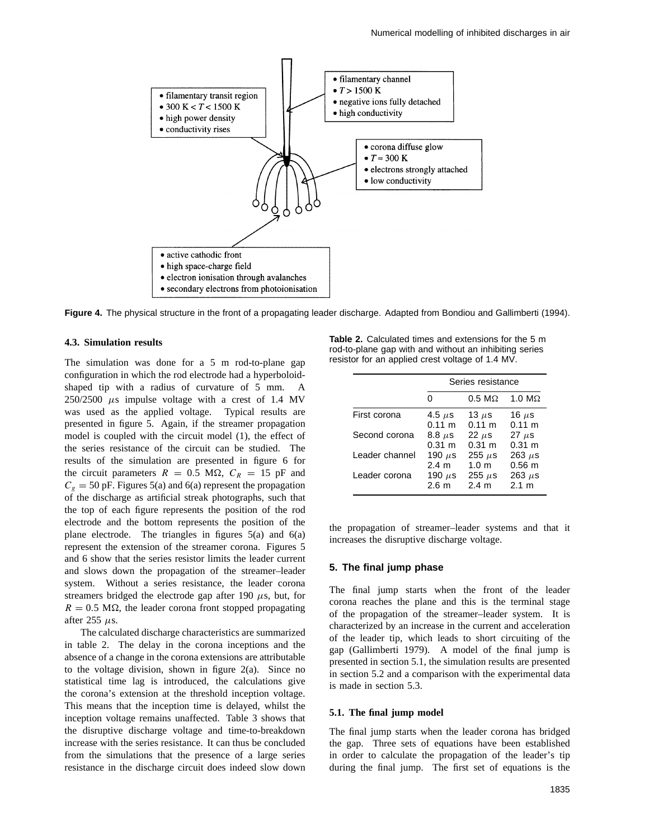

**Figure 4.** The physical structure in the front of a propagating leader discharge. Adapted from Bondiou and Gallimberti (1994).

# **4.3. Simulation results**

The simulation was done for a  $5 \text{ m}$  rod-to-plane gap configuration in which the rod electrode had a hyperboloidshaped tip with a radius of curvature of 5 mm. A  $250/2500$   $\mu$ s impulse voltage with a crest of 1.4 MV was used as the applied voltage. Typical results are presented in figure 5. Again, if the streamer propagation model is coupled with the circuit model (1), the effect of the series resistance of the circuit can be studied. The results of the simulation are presented in figure 6 for the circuit parameters  $R = 0.5$  M $\Omega$ ,  $C_R = 15$  pF and  $C_g = 50$  pF. Figures 5(a) and 6(a) represent the propagation of the discharge as artificial streak photographs, such that the top of each figure represents the position of the rod electrode and the bottom represents the position of the plane electrode. The triangles in figures 5(a) and 6(a) represent the extension of the streamer corona. Figures 5 and 6 show that the series resistor limits the leader current and slows down the propagation of the streamer–leader system. Without a series resistance, the leader corona streamers bridged the electrode gap after 190  $\mu$ s, but, for  $R = 0.5$  M $\Omega$ , the leader corona front stopped propagating after 255 *µ*s.

The calculated discharge characteristics are summarized in table 2. The delay in the corona inceptions and the absence of a change in the corona extensions are attributable to the voltage division, shown in figure 2(a). Since no statistical time lag is introduced, the calculations give the corona's extension at the threshold inception voltage. This means that the inception time is delayed, whilst the inception voltage remains unaffected. Table 3 shows that the disruptive discharge voltage and time-to-breakdown increase with the series resistance. It can thus be concluded from the simulations that the presence of a large series resistance in the discharge circuit does indeed slow down

**Table 2.** Calculated times and extensions for the 5 m rod-to-plane gap with and without an inhibiting series resistor for an applied crest voltage of 1.4 MV.

|                | Series resistance |                  |               |  |  |
|----------------|-------------------|------------------|---------------|--|--|
|                |                   | $0.5 M\Omega$    | 1.0 $M\Omega$ |  |  |
| First corona   | 4.5 $\mu$ s       | 13 $\mu$ s       | 16 $\mu$ s    |  |  |
|                | $0.11 \; m$       | $0.11 \; m$      | $0.11 \; m$   |  |  |
| Second corona  | $8.8 \; \mu s$    | $22 \mu s$       | $27 \mu s$    |  |  |
|                | $0.31 \; m$       | $0.31 \; m$      | $0.31 \; m$   |  |  |
| Leader channel | 190 $\mu$ s       | 255 $\mu$ s      | 263 $\mu$ s   |  |  |
|                | 2.4 <sub>m</sub>  | 1.0 <sub>m</sub> | $0.56$ m      |  |  |
| Leader corona  | 190 $\mu$ s       | 255 $\mu$ s      | 263 $\mu$ s   |  |  |
|                | 2.6 <sub>m</sub>  | 2.4 m            | 2.1 m         |  |  |

the propagation of streamer–leader systems and that it increases the disruptive discharge voltage.

# **5. The final jump phase**

The final jump starts when the front of the leader corona reaches the plane and this is the terminal stage of the propagation of the streamer–leader system. It is characterized by an increase in the current and acceleration of the leader tip, which leads to short circuiting of the gap (Gallimberti 1979). A model of the final jump is presented in section 5.1, the simulation results are presented in section 5.2 and a comparison with the experimental data is made in section 5.3.

# **5.1. The final jump model**

The final jump starts when the leader corona has bridged the gap. Three sets of equations have been established in order to calculate the propagation of the leader's tip during the final jump. The first set of equations is the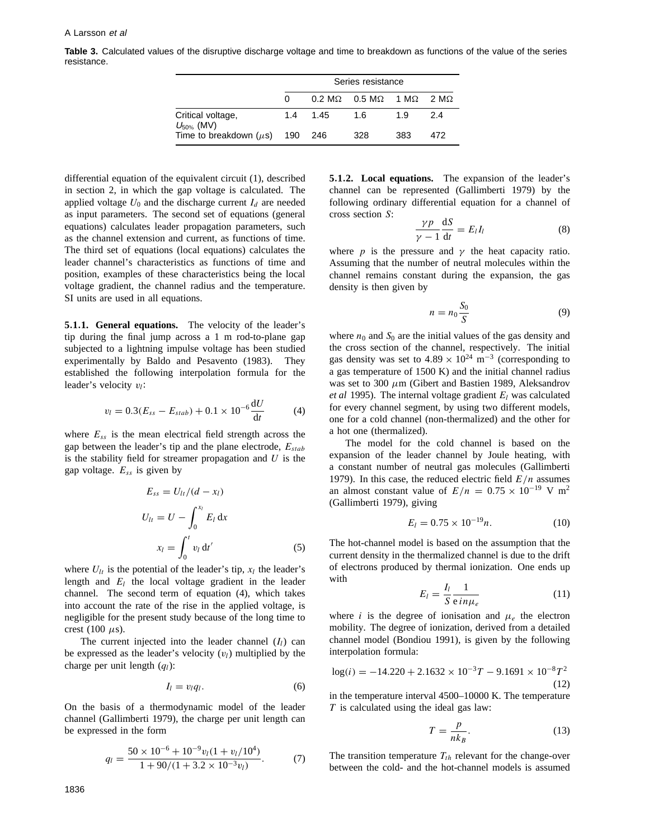**Table 3.** Calculated values of the disruptive discharge voltage and time to breakdown as functions of the value of the series resistance.

|                                      | Series resistance |          |                                                       |     |     |  |
|--------------------------------------|-------------------|----------|-------------------------------------------------------|-----|-----|--|
|                                      | 0                 |          | $0.2 M\Omega$ $0.5 M\Omega$ 1 M $\Omega$ 2 M $\Omega$ |     |     |  |
| Critical voltage,<br>$U_{50\%}$ (MV) |                   | 1.4 1.45 | -1.6                                                  | 19  | 2.4 |  |
| Time to breakdown $(\mu s)$ 190 246  |                   |          | 328                                                   | 383 | 472 |  |

differential equation of the equivalent circuit (1), described in section 2, in which the gap voltage is calculated. The applied voltage  $U_0$  and the discharge current  $I_d$  are needed as input parameters. The second set of equations (general equations) calculates leader propagation parameters, such as the channel extension and current, as functions of time. The third set of equations (local equations) calculates the leader channel's characteristics as functions of time and position, examples of these characteristics being the local voltage gradient, the channel radius and the temperature. SI units are used in all equations.

**5***.***1***.***1. General equations.** The velocity of the leader's tip during the final jump across a 1 m rod-to-plane gap subjected to a lightning impulse voltage has been studied experimentally by Baldo and Pesavento (1983). They established the following interpolation formula for the leader's velocity *vl*:

$$
v_l = 0.3(E_{ss} - E_{stab}) + 0.1 \times 10^{-6} \frac{dU}{dt}
$$
 (4)

where *Ess* is the mean electrical field strength across the gap between the leader's tip and the plane electrode, *Estab* is the stability field for streamer propagation and *U* is the gap voltage. *Ess* is given by

$$
E_{ss} = U_{lt}/(d - x_l)
$$
  
\n
$$
U_{lt} = U - \int_0^{x_l} E_l \, dx
$$
  
\n
$$
x_l = \int_0^t v_l \, dt'
$$
\n(5)

where  $U_{lt}$  is the potential of the leader's tip,  $x_l$  the leader's length and *El* the local voltage gradient in the leader channel. The second term of equation (4), which takes into account the rate of the rise in the applied voltage, is negligible for the present study because of the long time to crest (100  $\mu$ s).

The current injected into the leader channel  $(I_l)$  can be expressed as the leader's velocity  $(v_l)$  multiplied by the charge per unit length (*ql*):

$$
I_l = v_l q_l. \tag{6}
$$

On the basis of a thermodynamic model of the leader channel (Gallimberti 1979), the charge per unit length can be expressed in the form

$$
q_l = \frac{50 \times 10^{-6} + 10^{-9} v_l (1 + v_l / 10^4)}{1 + 90 / (1 + 3.2 \times 10^{-3} v_l)}.
$$
 (7)

**5***.***1***.***2. Local equations.** The expansion of the leader's channel can be represented (Gallimberti 1979) by the following ordinary differential equation for a channel of cross section *S*:

$$
\frac{\gamma p}{\gamma - 1} \frac{\mathrm{d}S}{\mathrm{d}t} = E_l I_l \tag{8}
$$

where *p* is the pressure and  $\gamma$  the heat capacity ratio. Assuming that the number of neutral molecules within the channel remains constant during the expansion, the gas density is then given by

$$
n = n_0 \frac{S_0}{S} \tag{9}
$$

where  $n_0$  and  $S_0$  are the initial values of the gas density and the cross section of the channel, respectively. The initial gas density was set to  $4.89 \times 10^{24}$  m<sup>-3</sup> (corresponding to a gas temperature of 1500 K) and the initial channel radius was set to 300 *µ*m (Gibert and Bastien 1989, Aleksandrov *et al* 1995). The internal voltage gradient *El* was calculated for every channel segment, by using two different models, one for a cold channel (non-thermalized) and the other for a hot one (thermalized).

The model for the cold channel is based on the expansion of the leader channel by Joule heating, with a constant number of neutral gas molecules (Gallimberti 1979). In this case, the reduced electric field *E/n* assumes an almost constant value of  $E/n = 0.75 \times 10^{-19}$  V m<sup>2</sup> (Gallimberti 1979), giving

$$
E_l = 0.75 \times 10^{-19} n. \tag{10}
$$

The hot-channel model is based on the assumption that the current density in the thermalized channel is due to the drift of electrons produced by thermal ionization. One ends up with

$$
E_l = \frac{I_l}{S} \frac{1}{e \, in \mu_e} \tag{11}
$$

where *i* is the degree of ionisation and  $\mu_e$  the electron mobility. The degree of ionization, derived from a detailed channel model (Bondiou 1991), is given by the following interpolation formula:

$$
\log(i) = -14.220 + 2.1632 \times 10^{-3} T - 9.1691 \times 10^{-8} T^2
$$
\n(12)

in the temperature interval 4500–10000 K. The temperature *T* is calculated using the ideal gas law:

$$
T = \frac{p}{nk_B}.\tag{13}
$$

The transition temperature  $T_{th}$  relevant for the change-over between the cold- and the hot-channel models is assumed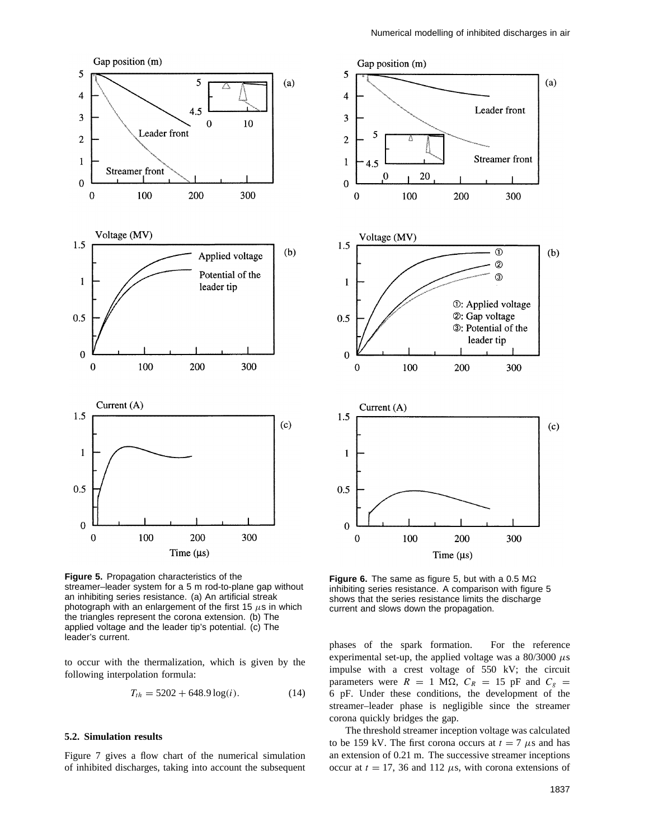

**Figure 5.** Propagation characteristics of the streamer-leader system for a 5 m rod-to-plane gap without an inhibiting series resistance. (a) An artificial streak photograph with an enlargement of the first 15 *µ*s in which the triangles represent the corona extension. (b) The applied voltage and the leader tip's potential. (c) The leader's current.

to occur with the thermalization, which is given by the following interpolation formula:

$$
T_{th} = 5202 + 648.9 \log(i). \tag{14}
$$

# **5.2. Simulation results**

Figure 7 gives a flow chart of the numerical simulation of inhibited discharges, taking into account the subsequent



**Figure 6.** The same as figure 5, but with a 0.5  $\text{M}\Omega$ inhibiting series resistance. A comparison with figure 5 shows that the series resistance limits the discharge current and slows down the propagation.

phases of the spark formation. For the reference experimental set-up, the applied voltage was a  $80/3000 \mu s$ impulse with a crest voltage of 550 kV; the circuit parameters were  $R = 1$  M $\Omega$ ,  $C_R = 15$  pF and  $C_g =$ 6 pF. Under these conditions, the development of the streamer–leader phase is negligible since the streamer corona quickly bridges the gap.

The threshold streamer inception voltage was calculated to be 159 kV. The first corona occurs at  $t = 7 \mu s$  and has an extension of 0.21 m. The successive streamer inceptions occur at  $t = 17$ , 36 and 112  $\mu$ s, with corona extensions of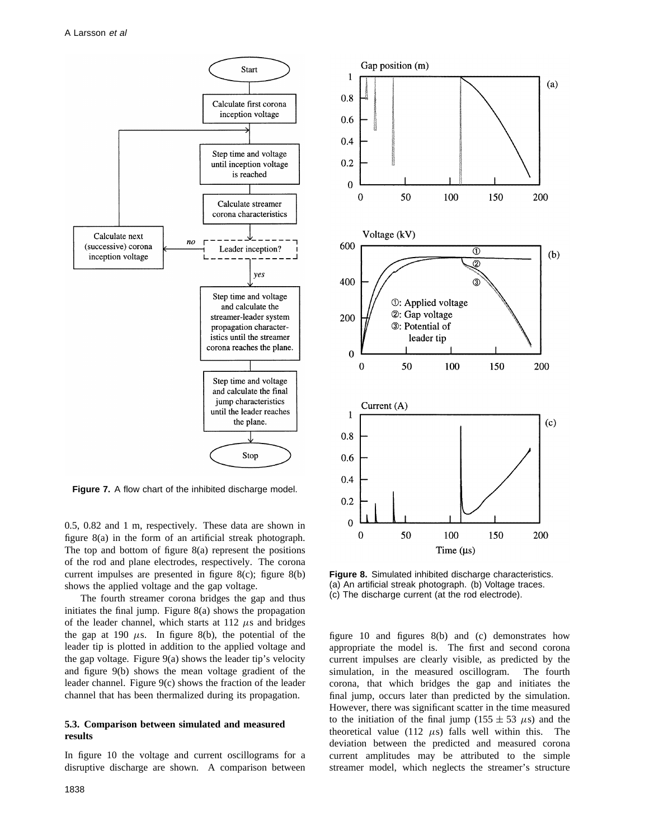

**Figure 7.** A flow chart of the inhibited discharge model.

0.5, 0.82 and 1 m, respectively. These data are shown in figure 8(a) in the form of an artificial streak photograph. The top and bottom of figure 8(a) represent the positions of the rod and plane electrodes, respectively. The corona current impulses are presented in figure 8(c); figure 8(b) shows the applied voltage and the gap voltage.

The fourth streamer corona bridges the gap and thus initiates the final jump. Figure 8(a) shows the propagation of the leader channel, which starts at  $112 \mu s$  and bridges the gap at 190  $\mu$ s. In figure 8(b), the potential of the leader tip is plotted in addition to the applied voltage and the gap voltage. Figure 9(a) shows the leader tip's velocity and figure 9(b) shows the mean voltage gradient of the leader channel. Figure 9(c) shows the fraction of the leader channel that has been thermalized during its propagation.

## **5.3. Comparison between simulated and measured results**

In figure 10 the voltage and current oscillograms for a disruptive discharge are shown. A comparison between



**Figure 8.** Simulated inhibited discharge characteristics. (a) An artificial streak photograph. (b) Voltage traces. (c) The discharge current (at the rod electrode).

figure 10 and figures 8(b) and (c) demonstrates how appropriate the model is. The first and second corona current impulses are clearly visible, as predicted by the simulation, in the measured oscillogram. The fourth corona, that which bridges the gap and initiates the final jump, occurs later than predicted by the simulation. However, there was significant scatter in the time measured to the initiation of the final jump (155  $\pm$  53  $\mu$ s) and the theoretical value (112  $\mu$ s) falls well within this. The deviation between the predicted and measured corona current amplitudes may be attributed to the simple streamer model, which neglects the streamer's structure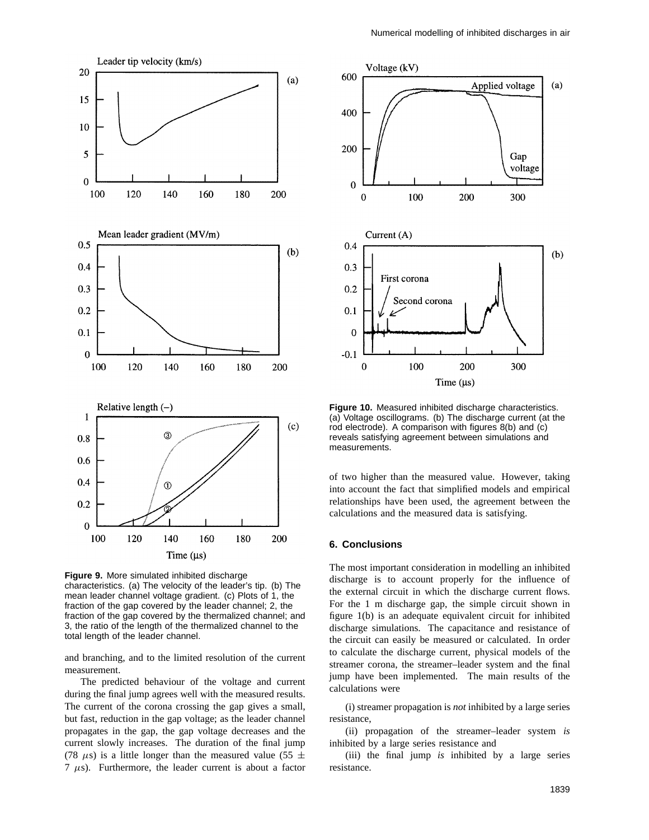

**Figure 9.** More simulated inhibited discharge characteristics. (a) The velocity of the leader's tip. (b) The mean leader channel voltage gradient. (c) Plots of 1, the fraction of the gap covered by the leader channel; 2, the fraction of the gap covered by the thermalized channel; and 3, the ratio of the length of the thermalized channel to the total length of the leader channel.

and branching, and to the limited resolution of the current measurement.

The predicted behaviour of the voltage and current during the final jump agrees well with the measured results. The current of the corona crossing the gap gives a small, but fast, reduction in the gap voltage; as the leader channel propagates in the gap, the gap voltage decreases and the current slowly increases. The duration of the final jump (78  $\mu$ s) is a little longer than the measured value (55  $\pm$ 7 *µ*s). Furthermore, the leader current is about a factor



**Figure 10.** Measured inhibited discharge characteristics. (a) Voltage oscillograms. (b) The discharge current (at the rod electrode). A comparison with figures 8(b) and (c) reveals satisfying agreement between simulations and measurements.

of two higher than the measured value. However, taking into account the fact that simplified models and empirical relationships have been used, the agreement between the calculations and the measured data is satisfying.

# **6. Conclusions**

The most important consideration in modelling an inhibited discharge is to account properly for the influence of the external circuit in which the discharge current flows. For the 1 m discharge gap, the simple circuit shown in figure 1(b) is an adequate equivalent circuit for inhibited discharge simulations. The capacitance and resistance of the circuit can easily be measured or calculated. In order to calculate the discharge current, physical models of the streamer corona, the streamer–leader system and the final jump have been implemented. The main results of the calculations were

(i) streamer propagation is *not* inhibited by a large series resistance,

(ii) propagation of the streamer–leader system *is* inhibited by a large series resistance and

(iii) the final jump *is* inhibited by a large series resistance.